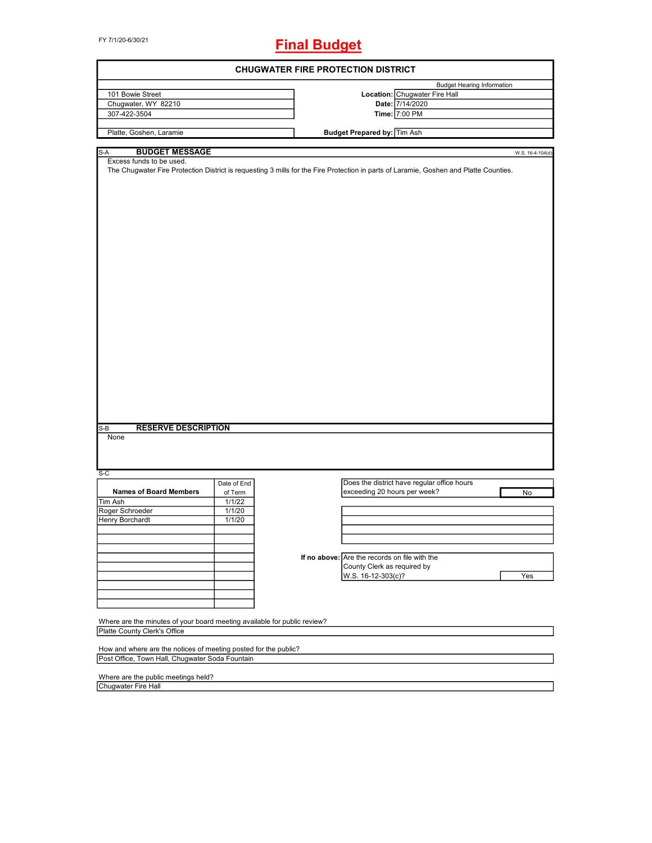FY 7/1/20-6/30/21

## **Final Budget**

| <b>CHUGWATER FIRE PROTECTION DISTRICT</b>                                                                                             |             |  |                                               |                                             |                  |
|---------------------------------------------------------------------------------------------------------------------------------------|-------------|--|-----------------------------------------------|---------------------------------------------|------------------|
|                                                                                                                                       |             |  |                                               | <b>Budget Hearing Information</b>           |                  |
| 101 Bowie Street                                                                                                                      |             |  |                                               | Location: Chugwater Fire Hall               |                  |
| Chugwater, WY 82210                                                                                                                   |             |  |                                               | Date: 7/14/2020                             |                  |
| 307-422-3504                                                                                                                          |             |  |                                               | Time: 7:00 PM                               |                  |
|                                                                                                                                       |             |  |                                               |                                             |                  |
| Platte, Goshen, Laramie                                                                                                               |             |  | <b>Budget Prepared by: Tim Ash</b>            |                                             |                  |
| <b>BUDGET MESSAGE</b><br>S-A                                                                                                          |             |  |                                               |                                             | W.S. 16-4-104(d) |
| Excess funds to be used.                                                                                                              |             |  |                                               |                                             |                  |
| The Chugwater Fire Protection District is requesting 3 mills for the Fire Protection in parts of Laramie, Goshen and Platte Counties. |             |  |                                               |                                             |                  |
|                                                                                                                                       |             |  |                                               |                                             |                  |
|                                                                                                                                       |             |  |                                               |                                             |                  |
|                                                                                                                                       |             |  |                                               |                                             |                  |
|                                                                                                                                       |             |  |                                               |                                             |                  |
|                                                                                                                                       |             |  |                                               |                                             |                  |
|                                                                                                                                       |             |  |                                               |                                             |                  |
|                                                                                                                                       |             |  |                                               |                                             |                  |
|                                                                                                                                       |             |  |                                               |                                             |                  |
|                                                                                                                                       |             |  |                                               |                                             |                  |
|                                                                                                                                       |             |  |                                               |                                             |                  |
|                                                                                                                                       |             |  |                                               |                                             |                  |
|                                                                                                                                       |             |  |                                               |                                             |                  |
|                                                                                                                                       |             |  |                                               |                                             |                  |
|                                                                                                                                       |             |  |                                               |                                             |                  |
|                                                                                                                                       |             |  |                                               |                                             |                  |
|                                                                                                                                       |             |  |                                               |                                             |                  |
|                                                                                                                                       |             |  |                                               |                                             |                  |
|                                                                                                                                       |             |  |                                               |                                             |                  |
|                                                                                                                                       |             |  |                                               |                                             |                  |
|                                                                                                                                       |             |  |                                               |                                             |                  |
|                                                                                                                                       |             |  |                                               |                                             |                  |
|                                                                                                                                       |             |  |                                               |                                             |                  |
|                                                                                                                                       |             |  |                                               |                                             |                  |
|                                                                                                                                       |             |  |                                               |                                             |                  |
|                                                                                                                                       |             |  |                                               |                                             |                  |
|                                                                                                                                       |             |  |                                               |                                             |                  |
|                                                                                                                                       |             |  |                                               |                                             |                  |
|                                                                                                                                       |             |  |                                               |                                             |                  |
| <b>RESERVE DESCRIPTION</b><br>S-B                                                                                                     |             |  |                                               |                                             |                  |
| None                                                                                                                                  |             |  |                                               |                                             |                  |
|                                                                                                                                       |             |  |                                               |                                             |                  |
|                                                                                                                                       |             |  |                                               |                                             |                  |
|                                                                                                                                       |             |  |                                               |                                             |                  |
| $S-C$                                                                                                                                 |             |  |                                               |                                             |                  |
|                                                                                                                                       | Date of End |  |                                               | Does the district have regular office hours |                  |
| <b>Names of Board Members</b>                                                                                                         | of Term     |  | exceeding 20 hours per week?                  |                                             | No               |
| Tim Ash                                                                                                                               | 1/1/22      |  |                                               |                                             |                  |
| Roger Schroeder                                                                                                                       | 1/1/20      |  |                                               |                                             |                  |
| Henry Borchardt                                                                                                                       | 1/1/20      |  |                                               |                                             |                  |
|                                                                                                                                       |             |  |                                               |                                             |                  |
|                                                                                                                                       |             |  |                                               |                                             |                  |
|                                                                                                                                       |             |  |                                               |                                             |                  |
|                                                                                                                                       |             |  | If no above: Are the records on file with the |                                             |                  |
|                                                                                                                                       |             |  | County Clerk as required by                   |                                             |                  |
|                                                                                                                                       |             |  | W.S. 16-12-303(c)?                            |                                             | Yes              |
|                                                                                                                                       |             |  |                                               |                                             |                  |
|                                                                                                                                       |             |  |                                               |                                             |                  |
|                                                                                                                                       |             |  |                                               |                                             |                  |
|                                                                                                                                       |             |  |                                               |                                             |                  |
| Where are the minutes of your board meeting available for public review?                                                              |             |  |                                               |                                             |                  |
| Platte County Clerk's Office                                                                                                          |             |  |                                               |                                             |                  |
|                                                                                                                                       |             |  |                                               |                                             |                  |
| How and where are the notices of meeting posted for the public?                                                                       |             |  |                                               |                                             |                  |
| Post Office, Town Hall, Chugwater Soda Fountain                                                                                       |             |  |                                               |                                             |                  |
|                                                                                                                                       |             |  |                                               |                                             |                  |

Where are the public meetings held? Chugwater Fire Hall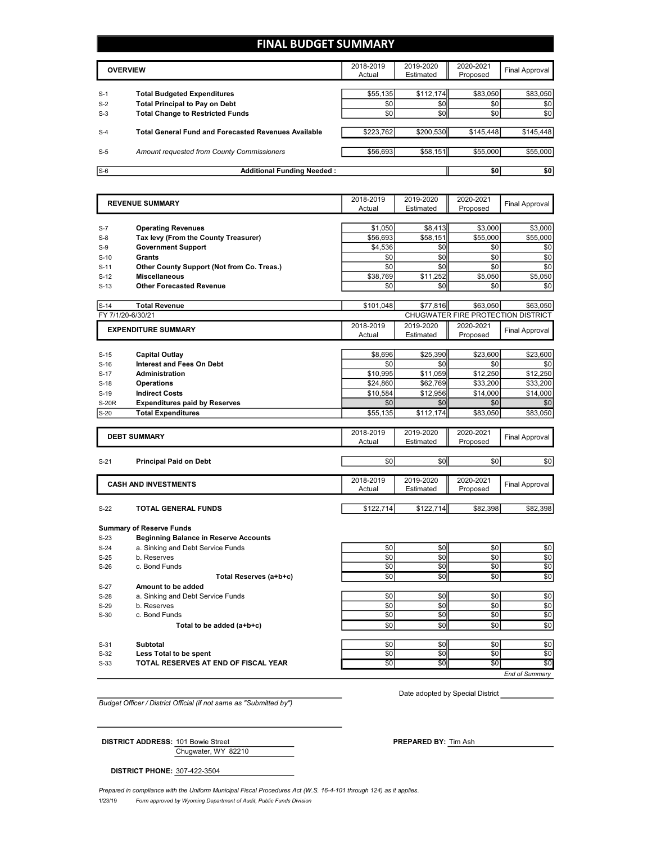## **FINAL BUDGET SUMMARY**

|       | <b>OVERVIEW</b>                                             | 2018-2019<br>Actual | 2019-2020<br>Estimated | 2020-2021<br>Proposed | Final Approval |
|-------|-------------------------------------------------------------|---------------------|------------------------|-----------------------|----------------|
|       |                                                             |                     |                        |                       |                |
| $S-1$ | <b>Total Budgeted Expenditures</b>                          | \$55,135            | \$112,174              | \$83,050              | \$83,050       |
| $S-2$ | <b>Total Principal to Pay on Debt</b>                       | \$0                 | \$0                    | \$0                   | \$0            |
| $S-3$ | <b>Total Change to Restricted Funds</b>                     | \$0                 | \$0                    | \$0                   | \$0            |
|       |                                                             |                     |                        |                       |                |
| $S-4$ | <b>Total General Fund and Forecasted Revenues Available</b> | \$223,762           | \$200,530              | \$145,448             | \$145,448      |
|       |                                                             |                     |                        |                       |                |
| $S-5$ | Amount requested from County Commissioners                  | \$56,693            | \$58,151               | \$55,000              | \$55,000       |
|       |                                                             |                     |                        |                       |                |
| $S-6$ | <b>Additional Funding Needed:</b>                           |                     |                        | \$0                   | \$0            |

| <b>REVENUE SUMMARY</b> |                                              | 2018-2019           | 2019-2020              | 2020-2021                          | <b>Final Approval</b> |
|------------------------|----------------------------------------------|---------------------|------------------------|------------------------------------|-----------------------|
|                        |                                              | Actual              | Estimated              | Proposed                           |                       |
|                        |                                              |                     |                        |                                    |                       |
| $S-7$                  | <b>Operating Revenues</b>                    | \$1,050             | \$8,413                | \$3,000                            | \$3,000               |
| $S-8$                  | Tax levy (From the County Treasurer)         | \$56,693            | \$58,151               | \$55,000                           | \$55,000              |
| $S-9$                  | <b>Government Support</b>                    | \$4,536             | \$0                    | \$0                                | \$0                   |
| $S-10$                 | Grants                                       | \$0                 | \$0                    | \$0                                | \$0                   |
| $S-11$                 | Other County Support (Not from Co. Treas.)   | \$0                 | \$0                    | \$0                                | \$0                   |
| $S-12$                 | <b>Miscellaneous</b>                         | \$38,769            | \$11,252               | \$5,050                            | \$5,050               |
| $S-13$                 | <b>Other Forecasted Revenue</b>              | \$0                 | \$0                    | \$0                                | \$0                   |
| $S-14$                 | <b>Total Revenue</b>                         | \$101,048           | \$77,816               | \$63,050                           | \$63.050              |
| FY 7/1/20-6/30/21      |                                              |                     |                        | CHUGWATER FIRE PROTECTION DISTRICT |                       |
|                        | <b>EXPENDITURE SUMMARY</b>                   | 2018-2019           | 2019-2020              | 2020-2021                          |                       |
|                        |                                              | Actual              | Estimated              | Proposed                           | <b>Final Approval</b> |
|                        |                                              |                     |                        |                                    |                       |
| $S-15$                 | <b>Capital Outlay</b>                        | \$8.696             | \$25,390               | \$23,600                           | \$23,600              |
| $S-16$                 | <b>Interest and Fees On Debt</b>             | \$0                 | \$0                    | \$0                                | \$0                   |
| $S-17$                 | Administration                               | \$10,995            | \$11,059               | \$12,250                           | \$12,250              |
| $S-18$                 | <b>Operations</b>                            | \$24,860            | \$62,769               | \$33,200                           | \$33,200              |
| $S-19$                 | <b>Indirect Costs</b>                        | \$10,584            | \$12,956               | \$14,000                           | \$14,000              |
| <b>S-20R</b>           | <b>Expenditures paid by Reserves</b>         | \$0                 | \$0                    | \$0                                | \$0                   |
| $S-20$                 | <b>Total Expenditures</b>                    | \$55,135            | \$112,174              | \$83,050                           | \$83,050              |
|                        |                                              |                     |                        |                                    |                       |
|                        | <b>DEBT SUMMARY</b>                          | 2018-2019<br>Actual | 2019-2020<br>Estimated | 2020-2021                          | <b>Final Approval</b> |
|                        |                                              |                     |                        | Proposed                           |                       |
| $S-21$                 | <b>Principal Paid on Debt</b>                | \$0                 | \$0                    | \$0                                | \$0                   |
|                        |                                              |                     |                        |                                    |                       |
|                        | <b>CASH AND INVESTMENTS</b>                  | 2018-2019           | 2019-2020              | 2020-2021                          | <b>Final Approval</b> |
|                        |                                              | Actual              | Estimated              | Proposed                           |                       |
|                        | TOTAL GENERAL FUNDS                          | \$122,714           | \$122,714              | \$82,398                           | \$82,398              |
| $S-22$                 |                                              |                     |                        |                                    |                       |
|                        | <b>Summary of Reserve Funds</b>              |                     |                        |                                    |                       |
| $S-23$                 | <b>Beginning Balance in Reserve Accounts</b> |                     |                        |                                    |                       |
| $S-24$                 | a. Sinking and Debt Service Funds            | \$0                 | \$0                    | \$0                                | \$0                   |
| $S-25$                 | b. Reserves                                  | \$0                 | \$0                    | \$0                                | \$0                   |
| $S-26$                 | c. Bond Funds                                | \$0                 | \$0                    | \$0                                | \$0                   |
|                        | Total Reserves (a+b+c)                       | \$0                 | \$0                    | \$0                                | \$0                   |
| $S-27$                 | Amount to be added                           |                     |                        |                                    |                       |
| $S-28$                 | a. Sinking and Debt Service Funds            | \$0                 | \$0                    | \$0                                | \$0                   |
| $S-29$                 | b. Reserves                                  | \$0                 | \$0                    | \$0                                | \$0                   |
| $S-30$                 | c. Bond Funds                                | \$0                 | \$0                    | \$0                                | \$0                   |
|                        | Total to be added (a+b+c)                    | \$0                 | \$0                    | \$0                                | \$0                   |
|                        |                                              |                     |                        |                                    |                       |
| $S-31$                 | <b>Subtotal</b>                              | \$0                 | \$0                    | \$0                                | \$0                   |
| $S-32$                 | Less Total to be spent                       | \$0                 | \$0                    | \$0                                | \$0                   |
| $S-33$                 | TOTAL RESERVES AT END OF FISCAL YEAR         | \$0                 | $\overline{50}$        | $\overline{50}$                    | \$0                   |
|                        |                                              |                     |                        |                                    | End of Summarv        |

*Budget Officer / District Official (if not same as "Submitted by")*

Date adopted by Special District

Chugwater, WY 82210 **DISTRICT ADDRESS:** 101 Bowie Street **PREPARED PREPARED** BY: Tim Ash

**DISTRICT PHONE:** 307-422-3504

1/23/19 *Form approved by Wyoming Department of Audit, Public Funds Division Prepared in compliance with the Uniform Municipal Fiscal Procedures Act (W.S. 16-4-101 through 124) as it applies.*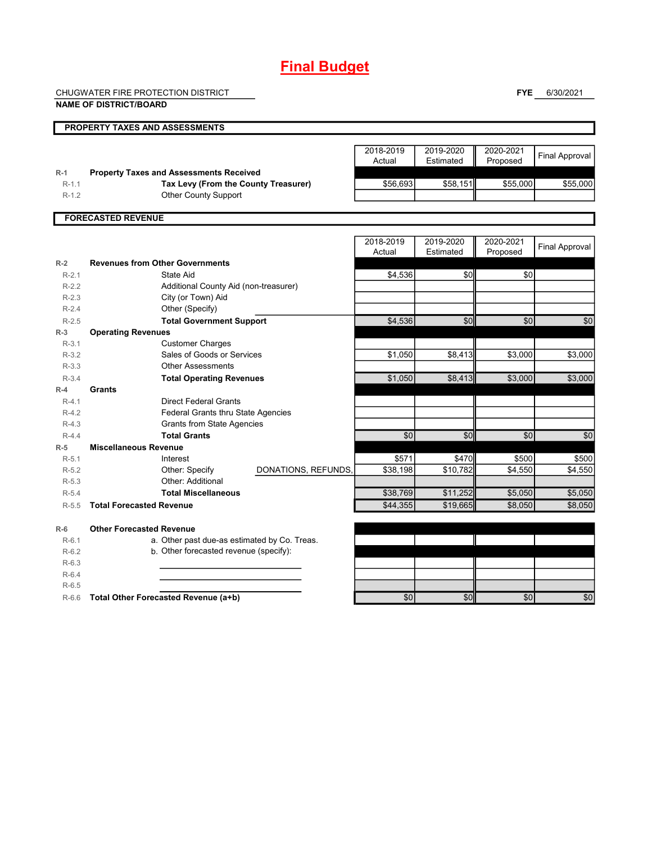# **Final Budget**

CHUGWATER FIRE PROTECTION DISTRICT

**NAME OF DISTRICT/BOARD**

**FYE** 6/30/2021

|                      | NAME OF DISTRICT/BOARD                                                                 |                     |                     |                        |                       |                       |
|----------------------|----------------------------------------------------------------------------------------|---------------------|---------------------|------------------------|-----------------------|-----------------------|
|                      | PROPERTY TAXES AND ASSESSMENTS                                                         |                     |                     |                        |                       |                       |
|                      |                                                                                        |                     | 2018-2019<br>Actual | 2019-2020<br>Estimated | 2020-2021<br>Proposed | <b>Final Approval</b> |
| $R-1$<br>$R-1.1$     | <b>Property Taxes and Assessments Received</b><br>Tax Levy (From the County Treasurer) |                     | \$56,693            | \$58,151               | \$55,000              | \$55,000              |
| $R-1.2$              | Other County Support                                                                   |                     |                     |                        |                       |                       |
|                      |                                                                                        |                     |                     |                        |                       |                       |
|                      | <b>FORECASTED REVENUE</b>                                                              |                     |                     |                        |                       |                       |
|                      |                                                                                        |                     | 2018-2019<br>Actual | 2019-2020<br>Estimated | 2020-2021<br>Proposed | <b>Final Approval</b> |
| $R-2$                | <b>Revenues from Other Governments</b>                                                 |                     |                     |                        |                       |                       |
| $R-2.1$              | State Aid                                                                              |                     | \$4,536             | \$0                    | \$0                   |                       |
| $R-2.2$<br>$R - 2.3$ | Additional County Aid (non-treasurer)                                                  |                     |                     |                        |                       |                       |
| $R-2.4$              | City (or Town) Aid<br>Other (Specify)                                                  |                     |                     |                        |                       |                       |
| $R-2.5$              | <b>Total Government Support</b>                                                        |                     | \$4,536             | \$0                    | \$0                   | \$0                   |
| $R-3$                | <b>Operating Revenues</b>                                                              |                     |                     |                        |                       |                       |
| $R-3.1$              | <b>Customer Charges</b>                                                                |                     |                     |                        |                       |                       |
| $R-3.2$              | Sales of Goods or Services                                                             |                     | \$1,050             | \$8,413                | \$3,000               | \$3,000               |
| $R-3.3$              | <b>Other Assessments</b>                                                               |                     |                     |                        |                       |                       |
| $R-3.4$              | <b>Total Operating Revenues</b>                                                        |                     | \$1.050             | \$8,413                | \$3.000               | \$3.000               |
| $R-4$                | <b>Grants</b>                                                                          |                     |                     |                        |                       |                       |
| $R-4.1$              | <b>Direct Federal Grants</b>                                                           |                     |                     |                        |                       |                       |
| $R-4.2$              | <b>Federal Grants thru State Agencies</b>                                              |                     |                     |                        |                       |                       |
| $R-4.3$              | <b>Grants from State Agencies</b>                                                      |                     |                     |                        |                       |                       |
| $R-4.4$              | <b>Total Grants</b>                                                                    |                     | \$0                 | \$0                    | \$0                   | \$0                   |
| $R-5$                | <b>Miscellaneous Revenue</b>                                                           |                     |                     |                        |                       |                       |
| $R-5.1$<br>$R-5.2$   | Interest<br>Other: Specify                                                             | DONATIONS, REFUNDS, | \$571<br>\$38,198   | \$470<br>\$10,782      | \$500<br>\$4,550      | \$500<br>\$4,550      |
| $R-5.3$              | Other: Additional                                                                      |                     |                     |                        |                       |                       |
| $R-5.4$              | <b>Total Miscellaneous</b>                                                             |                     | \$38,769            | \$11,252               | \$5,050               | \$5,050               |
| $R-5.5$              | <b>Total Forecasted Revenue</b>                                                        |                     | \$44,355            | \$19,665               | \$8,050               | \$8,050               |
|                      |                                                                                        |                     |                     |                        |                       |                       |
| $R-6$                | <b>Other Forecasted Revenue</b>                                                        |                     |                     |                        |                       |                       |
| $R-6.1$              | a. Other past due-as estimated by Co. Treas.                                           |                     |                     |                        |                       |                       |
| $R-6.2$              | b. Other forecasted revenue (specify):                                                 |                     |                     |                        |                       |                       |
| $R-6.3$              |                                                                                        |                     |                     |                        |                       |                       |
| $R-6.4$              |                                                                                        |                     |                     |                        |                       |                       |
| $R-6.5$<br>$R-6.6$   | Total Other Forecasted Revenue (a+b)                                                   |                     | \$0                 | \$0                    | \$0                   | \$0                   |
|                      |                                                                                        |                     |                     |                        |                       |                       |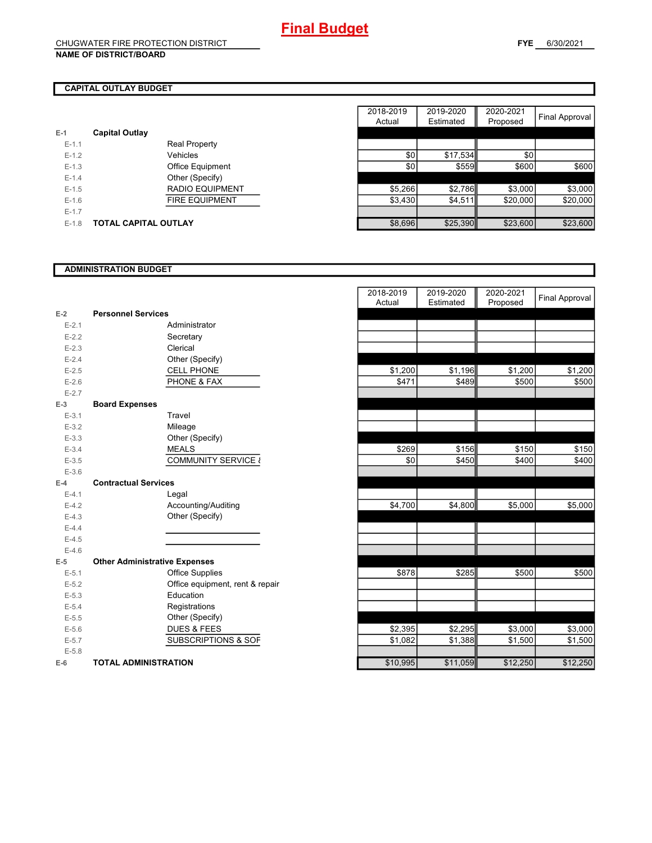## **CAPITAL OUTLAY BUDGET**

| $E-1$     | <b>Capital Outlay</b>       |                         |
|-----------|-----------------------------|-------------------------|
| $E - 1.1$ |                             | Real Property           |
| $F-12$    |                             | Vehicles                |
| $F-1.3$   |                             | <b>Office Equipment</b> |
| $F-14$    |                             | Other (Specify)         |
| $F-1.5$   |                             | <b>RADIO EQUIPMENT</b>  |
| $F-16$    |                             | <b>FIRE EQUIPMENT</b>   |
| $F-17$    |                             |                         |
| $F-1.8$   | <b>TOTAL CAPITAL OUTLAY</b> |                         |

|           |                             |                         | 2018-2019 | 2019-2020 | 2020-2021 |                |
|-----------|-----------------------------|-------------------------|-----------|-----------|-----------|----------------|
|           |                             |                         | Actual    | Estimated | Proposed  | Final Approval |
|           | <b>Capital Outlay</b>       |                         |           |           |           |                |
| $E-1.1$   |                             | <b>Real Property</b>    |           |           |           |                |
| $E-1.2$   |                             | Vehicles                | \$0       | \$17,534  | \$0       |                |
| $E-1.3$   |                             | <b>Office Equipment</b> | \$0       | \$559     | \$600     | \$600          |
| $E-1.4$   |                             | Other (Specify)         |           |           |           |                |
| $E-1.5$   |                             | <b>RADIO EQUIPMENT</b>  | \$5,266   | \$2,786   | \$3,000   | \$3,000        |
| $E-1.6$   |                             | <b>FIRE EQUIPMENT</b>   | \$3,430   | \$4,511   | \$20,000  | \$20,000       |
| $E - 1.7$ |                             |                         |           |           |           |                |
| $E-1.8$   | <b>TOTAL CAPITAL OUTLAY</b> |                         | \$8,696   | \$25,390  | \$23,600  | \$23,600       |

#### **ADMINISTRATION BUDGET**

| $E-2$     | <b>Personnel Services</b>            |                                 |
|-----------|--------------------------------------|---------------------------------|
| $E - 2.1$ |                                      | Administrator                   |
| $E - 2.2$ |                                      | Secretary                       |
| $E - 2.3$ |                                      | Clerical                        |
| $E - 2.4$ |                                      | Other (Specify)                 |
| $E - 2.5$ |                                      | <b>CELL PHONE</b>               |
| $E - 2.6$ |                                      | PHONE & FAX                     |
| $E - 2.7$ |                                      |                                 |
| $E-3$     | <b>Board Expenses</b>                |                                 |
| $E - 3.1$ |                                      | Travel                          |
| $E-3.2$   |                                      | Mileage                         |
| $E - 3.3$ |                                      | Other (Specify)                 |
| $E - 3.4$ |                                      | <b>MEALS</b>                    |
| $E - 3.5$ |                                      | <b>COMMUNITY SERVICE {</b>      |
| $E - 3.6$ |                                      |                                 |
| $E-4$     | <b>Contractual Services</b>          |                                 |
| $E-4.1$   |                                      | Legal                           |
| $E - 4.2$ |                                      | Accounting/Auditing             |
| $E-4.3$   |                                      | Other (Specify)                 |
| $E - 4.4$ |                                      |                                 |
| $E - 4.5$ |                                      |                                 |
| $E-4.6$   |                                      |                                 |
| E-5       | <b>Other Administrative Expenses</b> |                                 |
| $E - 5.1$ |                                      | <b>Office Supplies</b>          |
| $E - 5.2$ |                                      | Office equipment, rent & repair |
| $E - 5.3$ |                                      | Education                       |
| $E - 5.4$ |                                      | Registrations                   |
| $E - 5.5$ |                                      | Other (Specify)                 |
| $E - 5.6$ |                                      | <b>DUES &amp; FEES</b>          |
| $E - 5.7$ |                                      | <b>SUBSCRIPTIONS &amp; SOF</b>  |
| $E - 5.8$ |                                      |                                 |
| $E-6$     | <b>TOTAL ADMINISTRATION</b>          |                                 |

|                          |                                      | 2018-2019 | 2019-2020 | 2020-2021           |                       |
|--------------------------|--------------------------------------|-----------|-----------|---------------------|-----------------------|
|                          |                                      | Actual    | Estimated | Proposed            | <b>Final Approval</b> |
| Ż                        | <b>Personnel Services</b>            |           |           |                     |                       |
| $E - 2.1$                | Administrator                        |           |           |                     |                       |
| $E - 2.2$                | Secretary                            |           |           |                     |                       |
| $E - 2.3$                | Clerical                             |           |           |                     |                       |
| $E - 2.4$                | Other (Specify)                      |           |           |                     |                       |
| $E - 2.5$                | <b>CELL PHONE</b>                    | \$1,200   | \$1,196   | \$1,200             | \$1,200               |
| $E - 2.6$                | PHONE & FAX                          | \$471     | \$489     | \$500               | \$500                 |
| $E - 2.7$                |                                      |           |           |                     |                       |
| $\overline{\phantom{a}}$ | <b>Board Expenses</b>                |           |           |                     |                       |
| $E - 3.1$                | Travel                               |           |           |                     |                       |
| $E - 3.2$                | Mileage                              |           |           |                     |                       |
| $E - 3.3$                | Other (Specify)                      |           |           |                     |                       |
| $E - 3.4$                | <b>MEALS</b>                         | \$269     | \$156     | $\overline{\$}$ 150 | \$150                 |
| $E - 3.5$                | COMMUNITY SERVICE &                  | \$0       | \$450     | \$400               | \$400                 |
| $E - 3.6$                |                                      |           |           |                     |                       |
| ı.                       | <b>Contractual Services</b>          |           |           |                     |                       |
| $E - 4.1$                | Legal                                |           |           |                     |                       |
| $E - 4.2$                | Accounting/Auditing                  | \$4,700   | \$4,800   | \$5,000             | \$5,000               |
| $E - 4.3$                | Other (Specify)                      |           |           |                     |                       |
| $E - 4.4$                |                                      |           |           |                     |                       |
| $E-4.5$                  |                                      |           |           |                     |                       |
| $E - 4.6$                |                                      |           |           |                     |                       |
| 5                        | <b>Other Administrative Expenses</b> |           |           |                     |                       |
| $E - 5.1$                | <b>Office Supplies</b>               | \$878     | \$285     | \$500               | \$500                 |
| $E - 5.2$                | Office equipment, rent & repair      |           |           |                     |                       |
| $E - 5.3$                | Education                            |           |           |                     |                       |
| $E - 5.4$                | Registrations                        |           |           |                     |                       |
| $E - 5.5$                | Other (Specify)                      |           |           |                     |                       |
| $E - 5.6$                | <b>DUES &amp; FEES</b>               | \$2,395   | \$2,295   | \$3,000             | \$3,000               |
| $E - 5.7$                | <b>SUBSCRIPTIONS &amp; SOF</b>       | \$1,082   | \$1,388   | \$1,500             | \$1,500               |
| $E - 5.8$                |                                      |           |           |                     |                       |
|                          | <b>TOTAL ADMINISTRATION</b>          | \$10,995  | \$11,059  | \$12,250            | \$12,250              |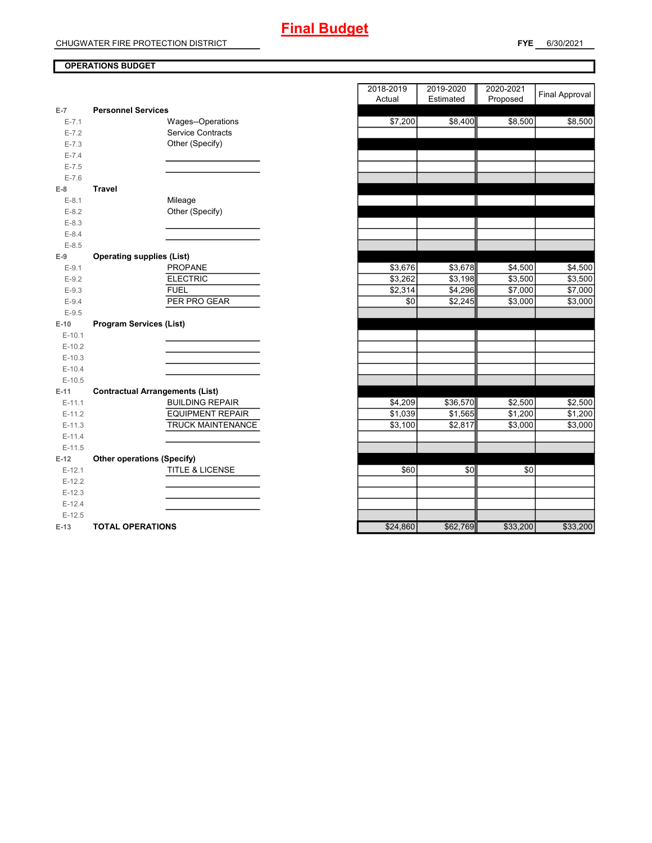### **OPERATIONS BUDGET**

| $E-7$     | <b>Personnel Services</b>              |          |          |          |
|-----------|----------------------------------------|----------|----------|----------|
| $E - 7.1$ | Wages--Operations                      | \$7,200  | \$8,400  | \$8,500  |
| $E - 7.2$ | Service Contracts                      |          |          |          |
| $E - 7.3$ | Other (Specify)                        |          |          |          |
| $E - 7.4$ |                                        |          |          |          |
| $E - 7.5$ |                                        |          |          |          |
| $E - 7.6$ |                                        |          |          |          |
| $E-8$     | <b>Travel</b>                          |          |          |          |
| $E-8.1$   | Mileage                                |          |          |          |
| $E-8.2$   | Other (Specify)                        |          |          |          |
| $E - 8.3$ |                                        |          |          |          |
| $E - 8.4$ |                                        |          |          |          |
| $E - 8.5$ |                                        |          |          |          |
| $E-9$     | <b>Operating supplies (List)</b>       |          |          |          |
| $E-9.1$   | <b>PROPANE</b>                         | \$3,676  | \$3,678  | \$4,500  |
| $E-9.2$   | <b>ELECTRIC</b>                        | \$3,262  | \$3,198  | \$3,500  |
| $E - 9.3$ | <b>FUEL</b>                            | \$2,314  | \$4,296  | \$7,000  |
| $E - 9.4$ | PER PRO GEAR                           | \$0      | \$2,245  | \$3,000  |
| $E-9.5$   |                                        |          |          |          |
| $E-10$    | <b>Program Services (List)</b>         |          |          |          |
| $E-10.1$  |                                        |          |          |          |
| $E-10.2$  |                                        |          |          |          |
| $E-10.3$  |                                        |          |          |          |
| $E-10.4$  |                                        |          |          |          |
| $E-10.5$  |                                        |          |          |          |
| $E-11$    | <b>Contractual Arrangements (List)</b> |          |          |          |
| $E-11.1$  | <b>BUILDING REPAIR</b>                 | \$4,209  | \$36,570 | \$2,500  |
| $E-11.2$  | <b>EQUIPMENT REPAIR</b>                | \$1,039  | \$1,565  | \$1,200  |
| $E-11.3$  | <b>TRUCK MAINTENANCE</b>               | \$3,100  | \$2,817  | \$3,000  |
| $E-11.4$  |                                        |          |          |          |
| $E-11.5$  |                                        |          |          |          |
| $E-12$    | <b>Other operations (Specify)</b>      |          |          |          |
| $E-12.1$  | <b>TITLE &amp; LICENSE</b>             | \$60     | \$0      | \$0      |
| $E-12.2$  |                                        |          |          |          |
| $E-12.3$  |                                        |          |          |          |
| $E-12.4$  |                                        |          |          |          |
| $E-12.5$  |                                        |          |          |          |
| $E-13$    | <b>TOTAL OPERATIONS</b>                | \$24,860 | \$62,769 | \$33,200 |

|                |                                        | 2018-2019 | 2019-2020 | 2020-2021  | <b>Final Approval</b> |
|----------------|----------------------------------------|-----------|-----------|------------|-----------------------|
| $\overline{7}$ | <b>Personnel Services</b>              | Actual    | Estimated | Proposed   |                       |
| $E - 7.1$      | Wages--Operations                      | \$7,200   | \$8,400   | \$8,500    | \$8,500               |
| $E - 7.2$      | <b>Service Contracts</b>               |           |           |            |                       |
| $E - 7.3$      | Other (Specify)                        |           |           |            |                       |
| $E - 7.4$      |                                        |           |           |            |                       |
| $E - 7.5$      |                                        |           |           |            |                       |
| $E - 7.6$      |                                        |           |           |            |                       |
| 8              | <b>Travel</b>                          |           |           |            |                       |
| $E-8.1$        | Mileage                                |           |           |            |                       |
| $E-8.2$        | Other (Specify)                        |           |           |            |                       |
| $E - 8.3$      |                                        |           |           |            |                       |
| $E - 8.4$      |                                        |           |           |            |                       |
| $E - 8.5$      |                                        |           |           |            |                       |
| 9              | <b>Operating supplies (List)</b>       |           |           |            |                       |
| $E - 9.1$      | PROPANE                                | \$3,676   | \$3,678   | \$4,500    | \$4,500               |
| $E-9.2$        | <b>ELECTRIC</b>                        | \$3,262   | \$3,198   | \$3,500    | \$3,500               |
| $E - 9.3$      | <b>FUEL</b>                            | \$2,314   | \$4,296   | \$7,000    | \$7,000               |
| $E - 9.4$      | PER PRO GEAR                           | \$0       | \$2,245   | \$3,000    | \$3,000               |
| $E - 9.5$      |                                        |           |           |            |                       |
| 10             | <b>Program Services (List)</b>         |           |           |            |                       |
| $E-10.1$       |                                        |           |           |            |                       |
| $E-10.2$       |                                        |           |           |            |                       |
| $E-10.3$       |                                        |           |           |            |                       |
| $E-10.4$       |                                        |           |           |            |                       |
| $E-10.5$       |                                        |           |           |            |                       |
| $11 -$         | <b>Contractual Arrangements (List)</b> |           |           |            |                       |
| $E-11.1$       | <b>BUILDING REPAIR</b>                 | \$4,209   | \$36,570  | \$2,500    | \$2,500               |
| $E-11.2$       | <b>EQUIPMENT REPAIR</b>                | \$1,039   | \$1,565   | \$1,200    | \$1,200               |
| $E-11.3$       | TRUCK MAINTENANCE                      | \$3,100   | \$2,817   | \$3,000    | \$3,000               |
| $E-11.4$       |                                        |           |           |            |                       |
| $E-11.5$       |                                        |           |           |            |                       |
| 12             | <b>Other operations (Specify)</b>      |           |           |            |                       |
| $E-12.1$       | <b>TITLE &amp; LICENSE</b>             | \$60      | \$0       | \$0        |                       |
| $E-12.2$       |                                        |           |           |            |                       |
| $E-12.3$       |                                        |           |           |            |                       |
| $E-12.4$       |                                        |           |           |            |                       |
| $E-12.5$       |                                        |           |           |            |                       |
| $13 -$         | <b>TOTAL OPERATIONS</b>                | \$24860   | \$62,769  | $$33\,200$ | $$33\,200$            |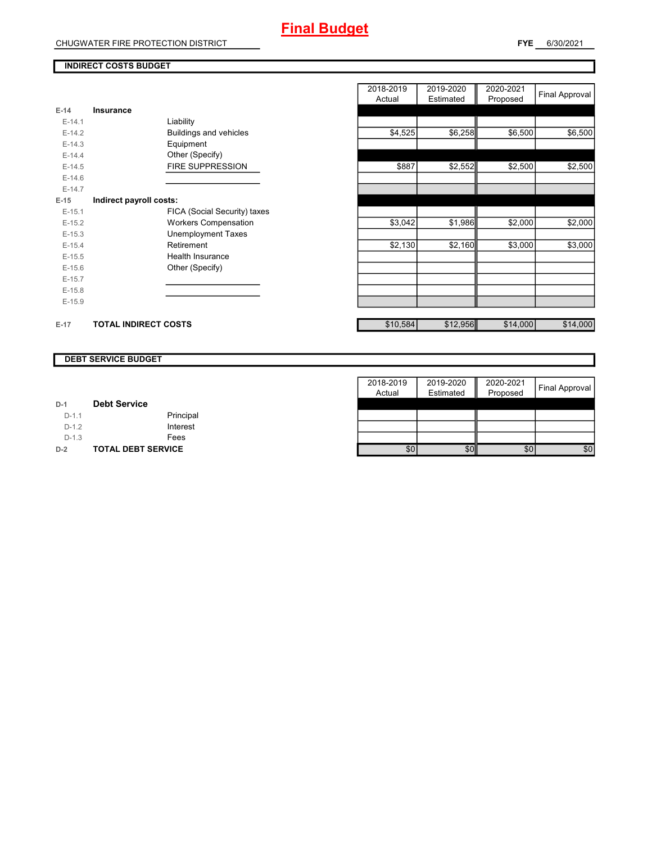CHUGWATER FIRE PROTECTION DISTRICT

#### **INDIRECT COSTS BUDGET**

|          |                              | 2018-2019<br>Actual | 2019-2020<br>Estimated | 2020-2021<br>Proposed | <b>Final Approval</b> |
|----------|------------------------------|---------------------|------------------------|-----------------------|-----------------------|
| $E-14$   | Insurance                    |                     |                        |                       |                       |
| $E-14.1$ | Liability                    |                     |                        |                       |                       |
| $E-14.2$ | Buildings and vehicles       | \$4,525             | \$6,258                | \$6,500               | \$6,500               |
| $E-14.3$ | Equipment                    |                     |                        |                       |                       |
| $E-14.4$ | Other (Specify)              |                     |                        |                       |                       |
| $E-14.5$ | <b>FIRE SUPPRESSION</b>      | \$887               | \$2,552                | \$2,500               | \$2,500               |
| $E-14.6$ |                              |                     |                        |                       |                       |
| $E-14.7$ |                              |                     |                        |                       |                       |
| $E-15$   | Indirect payroll costs:      |                     |                        |                       |                       |
| $E-15.1$ | FICA (Social Security) taxes |                     |                        |                       |                       |
| $E-15.2$ | <b>Workers Compensation</b>  | \$3,042             | \$1,986                | \$2,000               | \$2,000               |
| $E-15.3$ | <b>Unemployment Taxes</b>    |                     |                        |                       |                       |
| $E-15.4$ | Retirement                   | \$2,130             | \$2,160                | \$3,000               | \$3,000               |
| $E-15.5$ | <b>Health Insurance</b>      |                     |                        |                       |                       |
| $E-15.6$ | Other (Specify)              |                     |                        |                       |                       |
| $E-15.7$ |                              |                     |                        |                       |                       |
| $E-15.8$ |                              |                     |                        |                       |                       |
| $E-15.9$ |                              |                     |                        |                       |                       |
| $E-17$   | <b>TOTAL INDIRECT COSTS</b>  | \$10,584            | \$12,956               | \$14,000              | \$14,000              |

#### **DEBT SERVICE BUDGET**

|         |                           | 2018-2019 | 2019-2020 | 2020-2021 |                |
|---------|---------------------------|-----------|-----------|-----------|----------------|
|         |                           | Actual    | Estimated | Proposed  | Final Approval |
| $D-1$   | <b>Debt Service</b>       |           |           |           |                |
| $D-1.1$ | Principal                 |           |           |           |                |
| $D-1.2$ | Interest                  |           |           |           |                |
| $D-1.3$ | Fees                      |           |           |           |                |
| $D-2$   | <b>TOTAL DEBT SERVICE</b> | \$0       | \$0       | \$0       | \$0            |